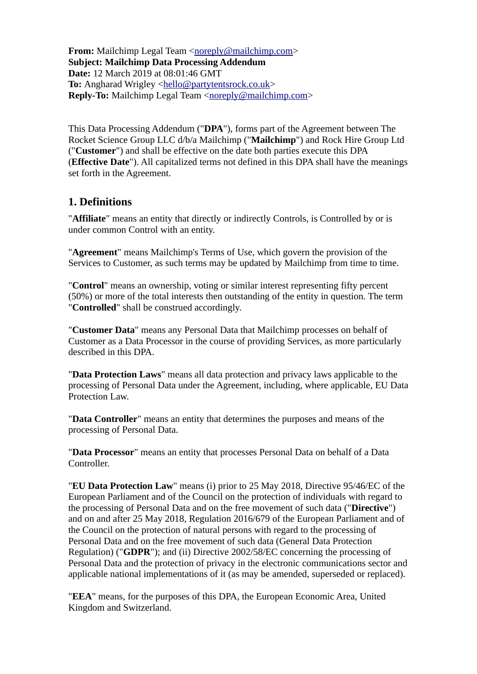**From:** Mailchimp Legal Team [<noreply@mailchimp.com>](mailto:noreply@mailchimp.com) **Subject: Mailchimp Data Processing Addendum Date:** 12 March 2019 at 08:01:46 GMT **To:** Angharad Wrigley [<hello@partytentsrock.co.uk>](mailto:hello@partytentsrock.co.uk) **Reply-To:** Mailchimp Legal Team [<noreply@mailchimp.com>](mailto:noreply@mailchimp.com)

This Data Processing Addendum ("**DPA**"), forms part of the Agreement between The Rocket Science Group LLC d/b/a Mailchimp ("**Mailchimp**") and Rock Hire Group Ltd ("**Customer**") and shall be effective on the date both parties execute this DPA (**Effective Date**"). All capitalized terms not defined in this DPA shall have the meanings set forth in the Agreement.

### **1. Definitions**

"**Affiliate**" means an entity that directly or indirectly Controls, is Controlled by or is under common Control with an entity.

"**Agreement**" means Mailchimp's Terms of Use, which govern the provision of the Services to Customer, as such terms may be updated by Mailchimp from time to time.

"**Control**" means an ownership, voting or similar interest representing fifty percent (50%) or more of the total interests then outstanding of the entity in question. The term "**Controlled**" shall be construed accordingly.

"**Customer Data**" means any Personal Data that Mailchimp processes on behalf of Customer as a Data Processor in the course of providing Services, as more particularly described in this DPA.

"**Data Protection Laws**" means all data protection and privacy laws applicable to the processing of Personal Data under the Agreement, including, where applicable, EU Data Protection Law.

"**Data Controller**" means an entity that determines the purposes and means of the processing of Personal Data.

"**Data Processor**" means an entity that processes Personal Data on behalf of a Data Controller.

"**EU Data Protection Law**" means (i) prior to 25 May 2018, Directive 95/46/EC of the European Parliament and of the Council on the protection of individuals with regard to the processing of Personal Data and on the free movement of such data ("**Directive**") and on and after 25 May 2018, Regulation 2016/679 of the European Parliament and of the Council on the protection of natural persons with regard to the processing of Personal Data and on the free movement of such data (General Data Protection Regulation) ("**GDPR**"); and (ii) Directive 2002/58/EC concerning the processing of Personal Data and the protection of privacy in the electronic communications sector and applicable national implementations of it (as may be amended, superseded or replaced).

"**EEA**" means, for the purposes of this DPA, the European Economic Area, United Kingdom and Switzerland.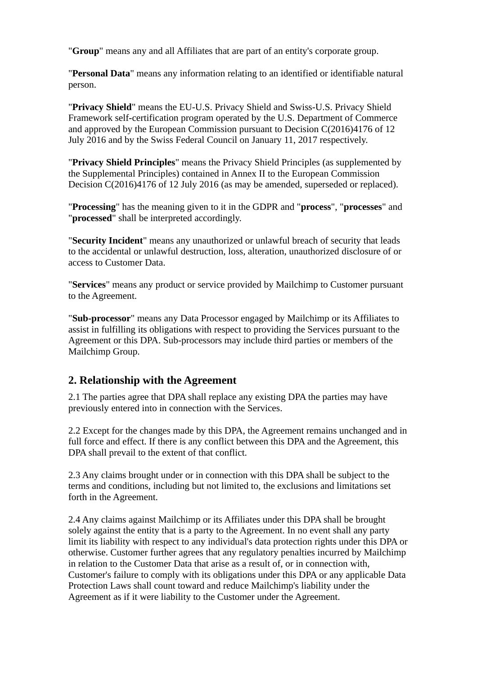"**Group**" means any and all Affiliates that are part of an entity's corporate group.

"**Personal Data**" means any information relating to an identified or identifiable natural person.

"**Privacy Shield**" means the EU-U.S. Privacy Shield and Swiss-U.S. Privacy Shield Framework self-certification program operated by the U.S. Department of Commerce and approved by the European Commission pursuant to Decision C(2016)4176 of 12 July 2016 and by the Swiss Federal Council on January 11, 2017 respectively.

"**Privacy Shield Principles**" means the Privacy Shield Principles (as supplemented by the Supplemental Principles) contained in Annex II to the European Commission Decision C(2016)4176 of 12 July 2016 (as may be amended, superseded or replaced).

"**Processing**" has the meaning given to it in the GDPR and "**process**", "**processes**" and "**processed**" shall be interpreted accordingly.

"**Security Incident**" means any unauthorized or unlawful breach of security that leads to the accidental or unlawful destruction, loss, alteration, unauthorized disclosure of or access to Customer Data.

"**Services**" means any product or service provided by Mailchimp to Customer pursuant to the Agreement.

"**Sub-processor**" means any Data Processor engaged by Mailchimp or its Affiliates to assist in fulfilling its obligations with respect to providing the Services pursuant to the Agreement or this DPA. Sub-processors may include third parties or members of the Mailchimp Group.

### **2. Relationship with the Agreement**

2.1 The parties agree that DPA shall replace any existing DPA the parties may have previously entered into in connection with the Services.

2.2 Except for the changes made by this DPA, the Agreement remains unchanged and in full force and effect. If there is any conflict between this DPA and the Agreement, this DPA shall prevail to the extent of that conflict.

2.3 Any claims brought under or in connection with this DPA shall be subject to the terms and conditions, including but not limited to, the exclusions and limitations set forth in the Agreement.

2.4 Any claims against Mailchimp or its Affiliates under this DPA shall be brought solely against the entity that is a party to the Agreement. In no event shall any party limit its liability with respect to any individual's data protection rights under this DPA or otherwise. Customer further agrees that any regulatory penalties incurred by Mailchimp in relation to the Customer Data that arise as a result of, or in connection with, Customer's failure to comply with its obligations under this DPA or any applicable Data Protection Laws shall count toward and reduce Mailchimp's liability under the Agreement as if it were liability to the Customer under the Agreement.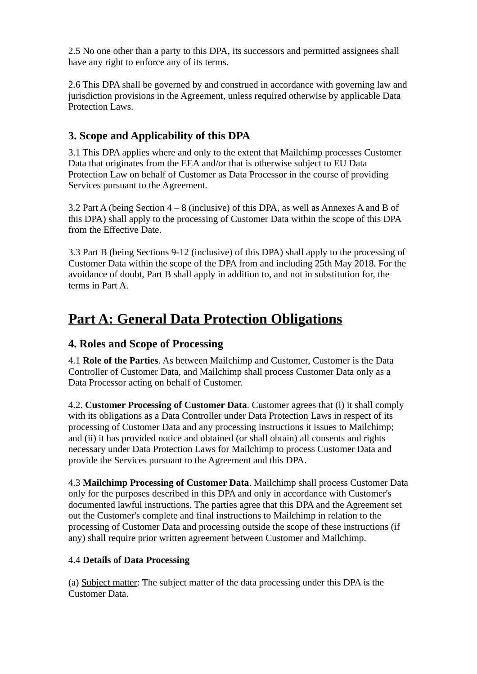2.5 No one other than a party to this DPA, its successors and permitted assignees shall have any right to enforce any of its terms.

2.6 This DPA shall be governed by and construed in accordance with governing law and jurisdiction provisions in the Agreement, unless required otherwise by applicable Data Protection Laws.

## **3. Scope and Applicability of this DPA**

3.1 This DPA applies where and only to the extent that Mailchimp processes Customer Data that originates from the EEA and/or that is otherwise subject to EU Data Protection Law on behalf of Customer as Data Processor in the course of providing Services pursuant to the Agreement.

3.2 Part A (being Section 4 – 8 (inclusive) of this DPA, as well as Annexes A and B of this DPA) shall apply to the processing of Customer Data within the scope of this DPA from the Effective Date.

3.3 Part B (being Sections 9-12 (inclusive) of this DPA) shall apply to the processing of Customer Data within the scope of the DPA from and including 25th May 2018. For the avoidance of doubt, Part B shall apply in addition to, and not in substitution for, the terms in Part A.

# **Part A: General Data Protection Obligations**

### **4. Roles and Scope of Processing**

4.1 **Role of the Parties**. As between Mailchimp and Customer, Customer is the Data Controller of Customer Data, and Mailchimp shall process Customer Data only as a Data Processor acting on behalf of Customer.

4.2. **Customer Processing of Customer Data**. Customer agrees that (i) it shall comply with its obligations as a Data Controller under Data Protection Laws in respect of its processing of Customer Data and any processing instructions it issues to Mailchimp; and (ii) it has provided notice and obtained (or shall obtain) all consents and rights necessary under Data Protection Laws for Mailchimp to process Customer Data and provide the Services pursuant to the Agreement and this DPA.

4.3 **Mailchimp Processing of Customer Data**. Mailchimp shall process Customer Data only for the purposes described in this DPA and only in accordance with Customer's documented lawful instructions. The parties agree that this DPA and the Agreement set out the Customer's complete and final instructions to Mailchimp in relation to the processing of Customer Data and processing outside the scope of these instructions (if any) shall require prior written agreement between Customer and Mailchimp.

#### 4.4 **Details of Data Processing**

(a) Subject matter: The subject matter of the data processing under this DPA is the Customer Data.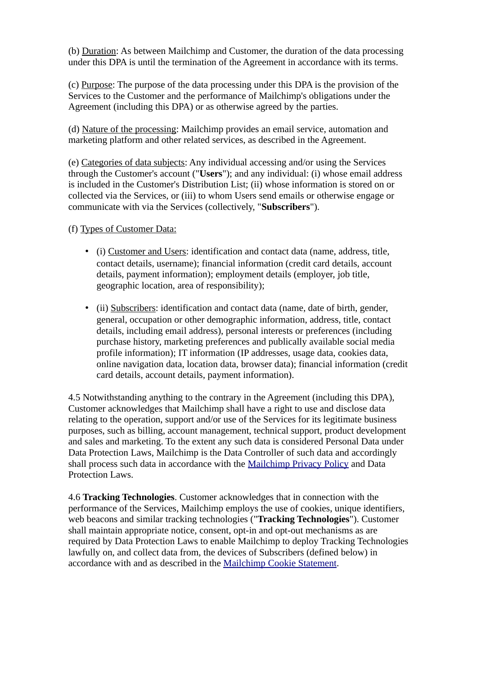(b) Duration: As between Mailchimp and Customer, the duration of the data processing under this DPA is until the termination of the Agreement in accordance with its terms.

(c) Purpose: The purpose of the data processing under this DPA is the provision of the Services to the Customer and the performance of Mailchimp's obligations under the Agreement (including this DPA) or as otherwise agreed by the parties.

(d) Nature of the processing: Mailchimp provides an email service, automation and marketing platform and other related services, as described in the Agreement.

(e) Categories of data subjects: Any individual accessing and/or using the Services through the Customer's account ("**Users**"); and any individual: (i) whose email address is included in the Customer's Distribution List; (ii) whose information is stored on or collected via the Services, or (iii) to whom Users send emails or otherwise engage or communicate with via the Services (collectively, "**Subscribers**").

(f) Types of Customer Data:

- (i) Customer and Users: identification and contact data (name, address, title, contact details, username); financial information (credit card details, account details, payment information); employment details (employer, job title, geographic location, area of responsibility);
- (ii) Subscribers: identification and contact data (name, date of birth, gender, general, occupation or other demographic information, address, title, contact details, including email address), personal interests or preferences (including purchase history, marketing preferences and publically available social media profile information); IT information (IP addresses, usage data, cookies data, online navigation data, location data, browser data); financial information (credit card details, account details, payment information).

4.5 Notwithstanding anything to the contrary in the Agreement (including this DPA), Customer acknowledges that Mailchimp shall have a right to use and disclose data relating to the operation, support and/or use of the Services for its legitimate business purposes, such as billing, account management, technical support, product development and sales and marketing. To the extent any such data is considered Personal Data under Data Protection Laws, Mailchimp is the Data Controller of such data and accordingly shall process such data in accordance with the [Mailchimp Privacy Policy](https://mailchimp.com/legal/privacy/) and Data Protection Laws.

4.6 **Tracking Technologies**. Customer acknowledges that in connection with the performance of the Services, Mailchimp employs the use of cookies, unique identifiers, web beacons and similar tracking technologies ("**Tracking Technologies**"). Customer shall maintain appropriate notice, consent, opt-in and opt-out mechanisms as are required by Data Protection Laws to enable Mailchimp to deploy Tracking Technologies lawfully on, and collect data from, the devices of Subscribers (defined below) in accordance with and as described in the [Mailchimp Cookie Statement.](https://mailchimp.com/legal/cookies/)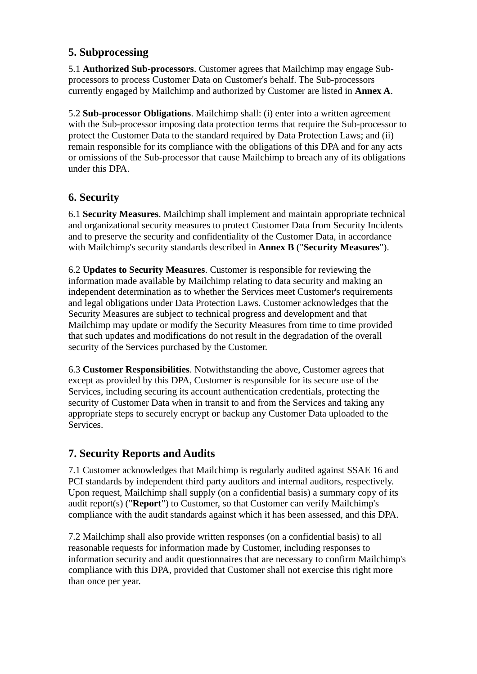### **5. Subprocessing**

5.1 **Authorized Sub-processors**. Customer agrees that Mailchimp may engage Subprocessors to process Customer Data on Customer's behalf. The Sub-processors currently engaged by Mailchimp and authorized by Customer are listed in **Annex A**.

5.2 **Sub-processor Obligations**. Mailchimp shall: (i) enter into a written agreement with the Sub-processor imposing data protection terms that require the Sub-processor to protect the Customer Data to the standard required by Data Protection Laws; and (ii) remain responsible for its compliance with the obligations of this DPA and for any acts or omissions of the Sub-processor that cause Mailchimp to breach any of its obligations under this DPA.

## **6. Security**

6.1 **Security Measures**. Mailchimp shall implement and maintain appropriate technical and organizational security measures to protect Customer Data from Security Incidents and to preserve the security and confidentiality of the Customer Data, in accordance with Mailchimp's security standards described in **Annex B** ("**Security Measures**").

6.2 **Updates to Security Measures**. Customer is responsible for reviewing the information made available by Mailchimp relating to data security and making an independent determination as to whether the Services meet Customer's requirements and legal obligations under Data Protection Laws. Customer acknowledges that the Security Measures are subject to technical progress and development and that Mailchimp may update or modify the Security Measures from time to time provided that such updates and modifications do not result in the degradation of the overall security of the Services purchased by the Customer.

6.3 **Customer Responsibilities**. Notwithstanding the above, Customer agrees that except as provided by this DPA, Customer is responsible for its secure use of the Services, including securing its account authentication credentials, protecting the security of Customer Data when in transit to and from the Services and taking any appropriate steps to securely encrypt or backup any Customer Data uploaded to the Services.

### **7. Security Reports and Audits**

7.1 Customer acknowledges that Mailchimp is regularly audited against SSAE 16 and PCI standards by independent third party auditors and internal auditors, respectively. Upon request, Mailchimp shall supply (on a confidential basis) a summary copy of its audit report(s) ("**Report**") to Customer, so that Customer can verify Mailchimp's compliance with the audit standards against which it has been assessed, and this DPA.

7.2 Mailchimp shall also provide written responses (on a confidential basis) to all reasonable requests for information made by Customer, including responses to information security and audit questionnaires that are necessary to confirm Mailchimp's compliance with this DPA, provided that Customer shall not exercise this right more than once per year.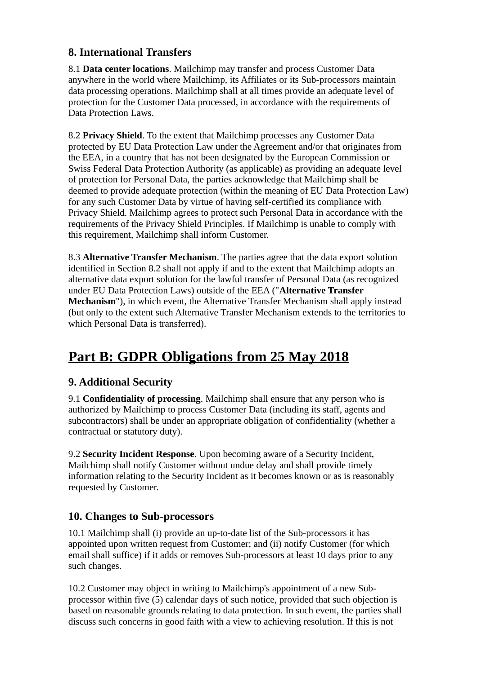## **8. International Transfers**

8.1 **Data center locations**. Mailchimp may transfer and process Customer Data anywhere in the world where Mailchimp, its Affiliates or its Sub-processors maintain data processing operations. Mailchimp shall at all times provide an adequate level of protection for the Customer Data processed, in accordance with the requirements of Data Protection Laws.

8.2 **Privacy Shield**. To the extent that Mailchimp processes any Customer Data protected by EU Data Protection Law under the Agreement and/or that originates from the EEA, in a country that has not been designated by the European Commission or Swiss Federal Data Protection Authority (as applicable) as providing an adequate level of protection for Personal Data, the parties acknowledge that Mailchimp shall be deemed to provide adequate protection (within the meaning of EU Data Protection Law) for any such Customer Data by virtue of having self-certified its compliance with Privacy Shield. Mailchimp agrees to protect such Personal Data in accordance with the requirements of the Privacy Shield Principles. If Mailchimp is unable to comply with this requirement, Mailchimp shall inform Customer.

8.3 **Alternative Transfer Mechanism**. The parties agree that the data export solution identified in Section 8.2 shall not apply if and to the extent that Mailchimp adopts an alternative data export solution for the lawful transfer of Personal Data (as recognized under EU Data Protection Laws) outside of the EEA ("**Alternative Transfer Mechanism**"), in which event, the Alternative Transfer Mechanism shall apply instead (but only to the extent such Alternative Transfer Mechanism extends to the territories to which Personal Data is transferred).

## **Part B: GDPR Obligations from 25 May 2018**

## **9. Additional Security**

9.1 **Confidentiality of processing**. Mailchimp shall ensure that any person who is authorized by Mailchimp to process Customer Data (including its staff, agents and subcontractors) shall be under an appropriate obligation of confidentiality (whether a contractual or statutory duty).

9.2 **Security Incident Response**. Upon becoming aware of a Security Incident, Mailchimp shall notify Customer without undue delay and shall provide timely information relating to the Security Incident as it becomes known or as is reasonably requested by Customer.

## **10. Changes to Sub-processors**

10.1 Mailchimp shall (i) provide an up-to-date list of the Sub-processors it has appointed upon written request from Customer; and (ii) notify Customer (for which email shall suffice) if it adds or removes Sub-processors at least 10 days prior to any such changes.

10.2 Customer may object in writing to Mailchimp's appointment of a new Subprocessor within five (5) calendar days of such notice, provided that such objection is based on reasonable grounds relating to data protection. In such event, the parties shall discuss such concerns in good faith with a view to achieving resolution. If this is not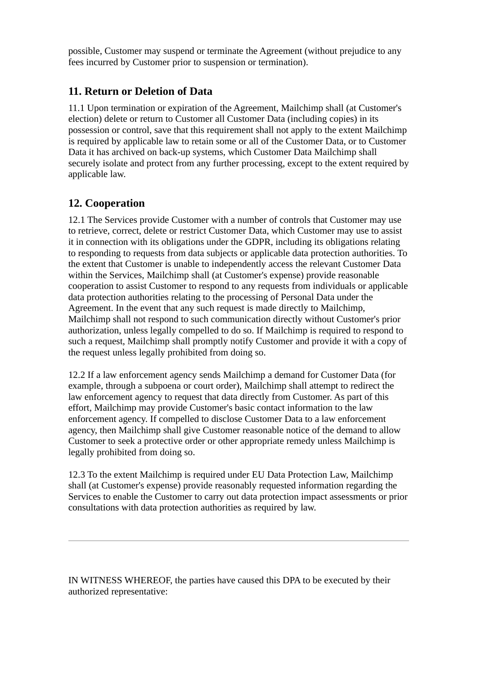possible, Customer may suspend or terminate the Agreement (without prejudice to any fees incurred by Customer prior to suspension or termination).

#### **11. Return or Deletion of Data**

11.1 Upon termination or expiration of the Agreement, Mailchimp shall (at Customer's election) delete or return to Customer all Customer Data (including copies) in its possession or control, save that this requirement shall not apply to the extent Mailchimp is required by applicable law to retain some or all of the Customer Data, or to Customer Data it has archived on back-up systems, which Customer Data Mailchimp shall securely isolate and protect from any further processing, except to the extent required by applicable law.

### **12. Cooperation**

12.1 The Services provide Customer with a number of controls that Customer may use to retrieve, correct, delete or restrict Customer Data, which Customer may use to assist it in connection with its obligations under the GDPR, including its obligations relating to responding to requests from data subjects or applicable data protection authorities. To the extent that Customer is unable to independently access the relevant Customer Data within the Services, Mailchimp shall (at Customer's expense) provide reasonable cooperation to assist Customer to respond to any requests from individuals or applicable data protection authorities relating to the processing of Personal Data under the Agreement. In the event that any such request is made directly to Mailchimp, Mailchimp shall not respond to such communication directly without Customer's prior authorization, unless legally compelled to do so. If Mailchimp is required to respond to such a request, Mailchimp shall promptly notify Customer and provide it with a copy of the request unless legally prohibited from doing so.

12.2 If a law enforcement agency sends Mailchimp a demand for Customer Data (for example, through a subpoena or court order), Mailchimp shall attempt to redirect the law enforcement agency to request that data directly from Customer. As part of this effort, Mailchimp may provide Customer's basic contact information to the law enforcement agency. If compelled to disclose Customer Data to a law enforcement agency, then Mailchimp shall give Customer reasonable notice of the demand to allow Customer to seek a protective order or other appropriate remedy unless Mailchimp is legally prohibited from doing so.

12.3 To the extent Mailchimp is required under EU Data Protection Law, Mailchimp shall (at Customer's expense) provide reasonably requested information regarding the Services to enable the Customer to carry out data protection impact assessments or prior consultations with data protection authorities as required by law.

IN WITNESS WHEREOF, the parties have caused this DPA to be executed by their authorized representative: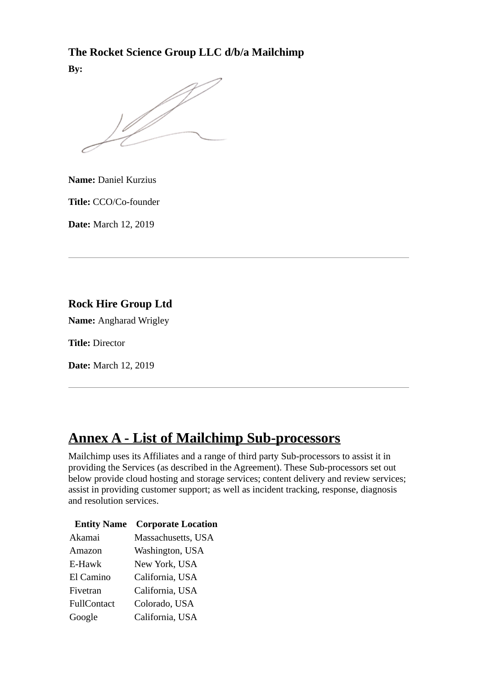### **The Rocket Science Group LLC d/b/a Mailchimp**

**By:**

 $\frac{1}{2}$ 

**Name:** Daniel Kurzius

**Title:** CCO/Co-founder

**Date:** March 12, 2019

### **Rock Hire Group Ltd**

**Name:** Angharad Wrigley

**Title:** Director

**Date:** March 12, 2019

## **Annex A - List of Mailchimp Sub-processors**

Mailchimp uses its Affiliates and a range of third party Sub-processors to assist it in providing the Services (as described in the Agreement). These Sub-processors set out below provide cloud hosting and storage services; content delivery and review services; assist in providing customer support; as well as incident tracking, response, diagnosis and resolution services.

| <b>Entity Name</b> | <b>Corporate Location</b> |
|--------------------|---------------------------|
| Akamai             | Massachusetts, USA        |
| Amazon             | Washington, USA           |
| E-Hawk             | New York, USA             |
| El Camino          | California, USA           |
| Fivetran           | California, USA           |
| FullContact        | Colorado, USA             |
| Google             | California, USA           |